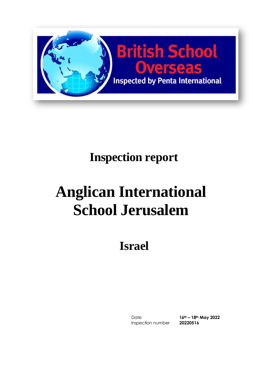

# **Inspection report**

# **Anglican International School Jerusalem**

**Israel**

Date **16th – 18th May 2022** Inspection number **20220516**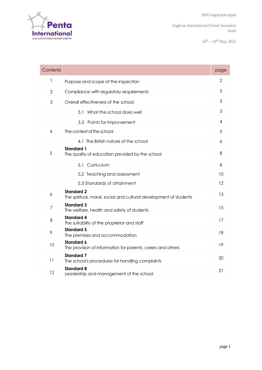$16^{th} - 18^{th}$  May 2022

| Contents       |                                                                                        | page           |
|----------------|----------------------------------------------------------------------------------------|----------------|
| $\mathbf{1}$   | Purpose and scope of the inspection                                                    | 2              |
| $\overline{2}$ | Compliance with regulatory requirements                                                | $\overline{2}$ |
| 3              | Overall effectiveness of the school                                                    | 3              |
|                | 3.1 What the school does well                                                          | 3              |
|                | 3.2 Points for improvement                                                             | 4              |
| 4              | The context of the school                                                              | 5              |
|                | 4.1 The British nature of the school                                                   | 6              |
| 5              | <b>Standard 1</b><br>The quality of education provided by the school                   | 8              |
|                | 5.1 Curriculum                                                                         | 8              |
|                | 5.2 Teaching and assessment                                                            | 10             |
|                | 5.3 Standards of attainment                                                            | 12             |
| 6              | <b>Standard 2</b><br>The spiritual, moral, social and cultural development of students | 13             |
| $\overline{7}$ | <b>Standard 3</b><br>The welfare, health and safety of students                        | 15             |
| 8              | <b>Standard 4</b><br>The suitability of the proprietor and staff                       | 17             |
| 9              | <b>Standard 5</b><br>The premises and accommodation                                    | 18             |
| 10             | <b>Standard 6</b><br>The provision of information for parents, carers and others       | 19             |
| 11             | <b>Standard 7</b><br>The school's procedures for handling complaints                   | 20             |
| 12             | <b>Standard 8</b><br>Leadership and management of the school                           | 21             |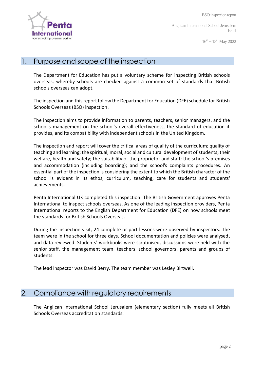

 $16^{th} - 18^{th}$  May 2022

#### 1. Purpose and scope of the inspection

The Department for Education has put a voluntary scheme for inspecting British schools overseas, whereby schools are checked against a common set of standards that British schools overseas can adopt.

The inspection and this report follow the Department for Education (DFE) schedule for British Schools Overseas (BSO) inspection.

The inspection aims to provide information to parents, teachers, senior managers, and the school's management on the school's overall effectiveness, the standard of education it provides, and its compatibility with independent schools in the United Kingdom.

The inspection and report will cover the critical areas of quality of the curriculum; quality of teaching and learning; the spiritual, moral, social and cultural development of students; their welfare, health and safety; the suitability of the proprietor and staff; the school's premises and accommodation (including boarding); and the school's complaints procedures. An essential part of the inspection is considering the extent to which the British character of the school is evident in its ethos, curriculum, teaching, care for students and students' achievements.

Penta International UK completed this inspection. The British Government approves Penta International to inspect schools overseas. As one of the leading inspection providers, Penta International reports to the English Department for Education (DFE) on how schools meet the standards for British Schools Overseas.

During the inspection visit, 24 complete or part lessons were observed by inspectors. The team were in the school for three days. School documentation and policies were analysed, and data reviewed. Students' workbooks were scrutinised, discussions were held with the senior staff, the management team, teachers, school governors, parents and groups of students.

The lead inspector was David Berry. The team member was Lesley Birtwell.

#### 2. Compliance with regulatory requirements

The Anglican International School Jerusalem (elementary section) fully meets all British Schools Overseas accreditation standards.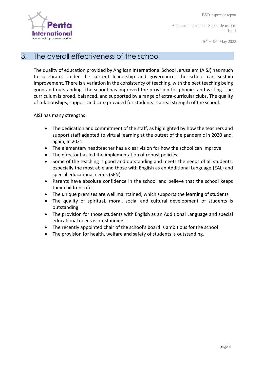

 $16^{th} - 18^{th}$  May 2022

#### 3. The overall effectiveness of the school

The quality of education provided by Anglican International School Jerusalem (AISJ) has much to celebrate. Under the current leadership and governance, the school can sustain improvement. There is a variation in the consistency of teaching, with the best teaching being good and outstanding. The school has improved the provision for phonics and writing. The curriculum is broad, balanced, and supported by a range of extra-curricular clubs. The quality of relationships, support and care provided for students is a real strength of the school.

AISJ has many strengths:

- The dedication and commitment of the staff, as highlighted by how the teachers and support staff adapted to virtual learning at the outset of the pandemic in 2020 and, again, in 2021
- The elementary headteacher has a clear vision for how the school can improve
- The director has led the implementation of robust policies
- Some of the teaching is good and outstanding and meets the needs of all students, especially the most able and those with English as an Additional Language (EAL) and special educational needs (SEN)
- Parents have absolute confidence in the school and believe that the school keeps their children safe
- The unique premises are well maintained, which supports the learning of students
- The quality of spiritual, moral, social and cultural development of students is outstanding
- The provision for those students with English as an Additional Language and special educational needs is outstanding
- The recently appointed chair of the school's board is ambitious for the school
- The provision for health, welfare and safety of students is outstanding.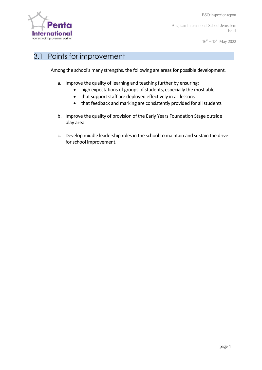

BSO inspectionreport

Anglican International School Jerusalem Israel

 $16^{th} - 18^{th}$  May 2022

#### 3.1 Points for improvement

Among the school's many strengths, the following are areas for possible development.

- a. Improve the quality of learning and teaching further by ensuring:
	- high expectations of groups of students, especially the most able
	- that support staff are deployed effectively in all lessons
	- that feedback and marking are consistently provided for all students
- b. Improve the quality of provision of the Early Years Foundation Stage outside play area
- c. Develop middle leadership roles in the school to maintain and sustain the drive for school improvement.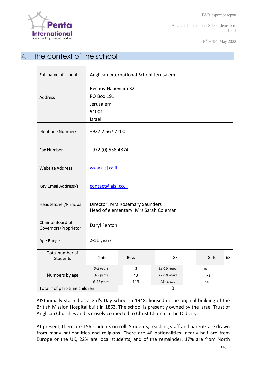$16^{th} - 18^{th}$  May 2022

# 4. The context of the school

| Full name of school                       | Anglican International School Jerusalem                                  |      |             |  |       |    |
|-------------------------------------------|--------------------------------------------------------------------------|------|-------------|--|-------|----|
| <b>Address</b>                            | <b>Rechov Hanevi'im 82</b><br><b>PO Box 191</b><br>Jerusalem<br>91001    |      |             |  |       |    |
|                                           | Israel                                                                   |      |             |  |       |    |
| Telephone Number/s                        | +927 2 567 7200                                                          |      |             |  |       |    |
| <b>Fax Number</b>                         | +972 (0) 538 4874                                                        |      |             |  |       |    |
| <b>Website Address</b>                    | www.aisj.co.il                                                           |      |             |  |       |    |
| Key Email Address/s                       | contact@aisj.co.il                                                       |      |             |  |       |    |
| Headteacher/Principal                     | Director: Mrs Rosemary Saunders<br>Head of elementary: Mrs Sarah Coleman |      |             |  |       |    |
| Chair of Board of<br>Governors/Proprietor | Daryl Fenton                                                             |      |             |  |       |    |
| Age Range                                 | 2-11 years                                                               |      |             |  |       |    |
| Total number of<br><b>Students</b>        | 156                                                                      | Boys | 88          |  | Girls | 68 |
|                                           | 0-2 years                                                                | 0    | 12-16 years |  | n/a   |    |
| Numbers by age                            | 3-5 years                                                                | 43   | 17-18 years |  | n/a   |    |
|                                           | 6-11 years                                                               | 113  | 18+ years   |  | n/a   |    |
| Total # of part-time children             |                                                                          |      | 0           |  |       |    |

AISJ initially started as a Girl's Day School in 1948, housed in the original building of the British Mission Hospital built in 1863. The school is presently owned by the Israel Trust of Anglican Churches and is closely connected to Christ Church in the Old City.

At present, there are 156 students on roll. Students, teaching staff and parents are drawn from many nationalities and religions. There are 46 nationalities; nearly half are from Europe or the UK, 22% are local students, and of the remainder, 17% are from North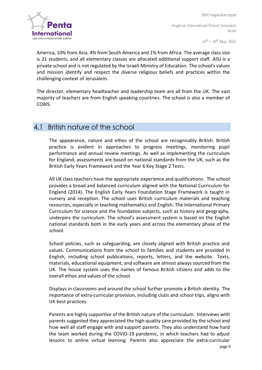

 $16^{th} - 18^{th}$  May 2022

America, 10% from Asia, 4% from South America and 1% from Africa. The average class size is 21 students, and all elementary classes are allocated additional support staff. AISJ is a private school and is not regulated by the Israeli Ministry of Education. The school's values and mission identify and respect the diverse religious beliefs and practices within the challenging context of Jerusalem.

The director, elementary headteacher and leadership team are all from the UK. The vast majority of teachers are from English speaking countries. The school is also a member of COBIS.

#### 4.1 British nature of the school

The appearance, nature and ethos of the school are recognisably British. British practice is evident in approaches to progress meetings, monitoring pupil performance and annual review meetings. As well as implementing the curriculum for England, assessments are based on national standards from the UK, such as the British Early Years Framework and the Year 6 Key Stage 2 Tests.

All UK class teachers have the appropriate experience and qualifications. The school provides a broad and balanced curriculum aligned with the National Curriculum for England (2014). The English Early Years Foundation Stage Framework is taught in nursery and reception. The school uses British curriculum materials and teaching resources, especially in teaching mathematics and English. The International Primary Curriculum for science and the foundation subjects, such as history and geography, underpins the curriculum. The school's assessment system is based on the English national standards both in the early years and across the elementary phase of the school.

School policies, such as safeguarding, are closely aligned with British practice and values. Communications from the school to families and students are provided in English, including school publications, reports, letters, and the website. Texts, materials, educational equipment, and software are almost always sourced from the UK. The house system uses the names of famous British citizens and adds to the overall ethos and values of the school.

Displays in classrooms and around the school further promote a British identity. The importance of extra-curricular provision, including clubs and school trips, aligns with UK best practices.

Parents are highly supportive of the British nature of the curriculum. Interviews with parents suggested they appreciated the high-quality care provided by the school and how well all staff engage with and support parents. They also understand how hard the team worked during the COVID-19 pandemic, in which teachers had to adjust lessons to online virtual learning. Parents also appreciate the extra-curricular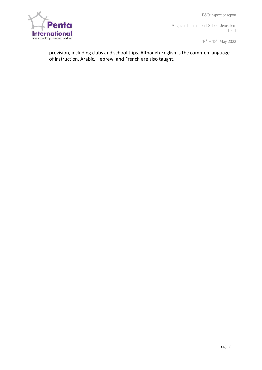BSO inspectionreport



Anglican International School Jerusalem Israel

 $16^{th} - 18^{th}$  May 2022

provision, including clubs and school trips. Although English is the common language of instruction, Arabic, Hebrew, and French are also taught.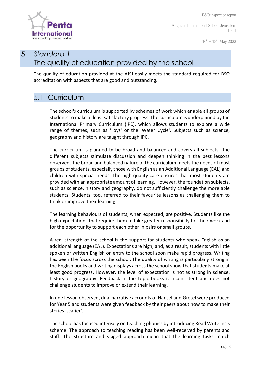

 $16^{th} - 18^{th}$  May 2022

### 5. *Standard 1* The quality of education provided by the school

The quality of education provided at the AISJ easily meets the standard required for BSO accreditation with aspects that are good and outstanding.

#### 5.1 Curriculum

The school's curriculum is supported by schemes of work which enable all groups of students to make at least satisfactory progress. The curriculum is underpinned by the International Primary Curriculum (IPC), which allows students to explore a wide range of themes, such as 'Toys' or the 'Water Cycle'. Subjects such as science, geography and history are taught through IPC.

The curriculum is planned to be broad and balanced and covers all subjects. The different subjects stimulate discussion and deepen thinking in the best lessons observed. The broad and balanced nature of the curriculum meets the needs of most groups of students, especially those with English as an Additional Language (EAL) and children with special needs. The high-quality care ensures that most students are provided with an appropriate amount of learning. However, the foundation subjects, such as science, history and geography, do not sufficiently challenge the more able students. Students, too, referred to their favourite lessons as challenging them to think or improve their learning.

The learning behaviours of students, when expected, are positive. Students like the high expectations that require them to take greater responsibility for their work and for the opportunity to support each other in pairs or small groups.

A real strength of the school is the support for students who speak English as an additional language (EAL). Expectations are high, and, as a result, students with little spoken or written English on entry to the school soon make rapid progress. Writing has been the focus across the school. The quality of writing is particularly strong in the English books and writing displays across the school show that students make at least good progress. However, the level of expectation is not as strong in science, history or geography. Feedback in the topic books is inconsistent and does not challenge students to improve or extend their learning.

In one lesson observed, dual narrative accounts of Hansel and Gretel were produced for Year 5 and students were given feedback by their peers about how to make their stories 'scarier'.

The school has focused intensely on teaching phonics by introducing Read Write Inc's scheme. The approach to teaching reading has been well-received by parents and staff. The structure and staged approach mean that the learning tasks match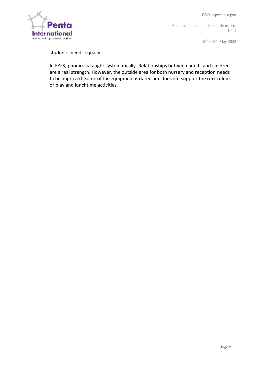

 $16^{th} - 18^{th}$  May 2022

students' needs equally.

In EYFS, phonics is taught systematically. Relationships between adults and children are a real strength. However, the outside area for both nursery and reception needs to be improved. Some of the equipment is dated and does not support the curriculum or play and lunchtime activities.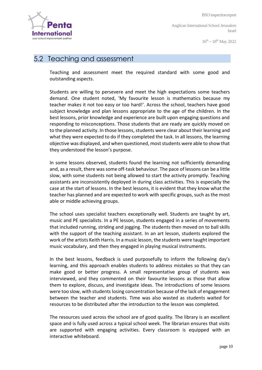

 $16^{th} - 18^{th}$  May 2022

#### 5.2 Teaching and assessment

Teaching and assessment meet the required standard with some good and outstanding aspects.

Students are willing to persevere and meet the high expectations some teachers demand. One student noted, 'My favourite lesson is mathematics because my teacher makes it not too easy or too hard!'. Across the school, teachers have good subject knowledge and plan lessons appropriate to the age of the children. In the best lessons, prior knowledge and experience are built upon engaging questions and responding to misconceptions. Those students that are ready are quickly moved on to the planned activity. In those lessons, students were clear about their learning and what they were expected to do if they completed the task. In all lessons, the learning objective was displayed, and when questioned, most students were able to show that they understood the lesson's purpose.

In some lessons observed, students found the learning not sufficiently demanding and, as a result, there was some off-task behaviour. The pace of lessons can be a little slow, with some students not being allowed to start the activity promptly. Teaching assistants are inconsistently deployed in during class activities. This is especially the case at the start of lessons. In the best lessons, it is evident that they know what the teacher has planned and are expected to work with specific groups, such as the most able or middle achieving groups.

The school uses specialist teachers exceptionally well. Students are taught by art, music and PE specialists. In a PE lesson, students engaged in a series of movements that included running, striding and jogging. The students then moved on to ball skills with the support of the teaching assistant. In an art lesson, students explored the work of the artists Keith Harris. In a music lesson, the students were taught important music vocabulary, and then they engaged in playing musical instruments.

In the best lessons, feedback is used purposefully to inform the following day's learning, and this approach enables students to address mistakes so that they can make good or better progress. A small representative group of students was interviewed, and they commented on their favourite lessons as those that allow them to explore, discuss, and investigate ideas. The introductions of some lessons were too slow, with students losing concentration because of the lack of engagement between the teacher and students. Time was also wasted as students waited for resources to be distributed after the introduction to the lesson was completed.

The resources used across the school are of good quality. The library is an excellent space and is fully used across a typical school week. The librarian ensures that visits are supported with engaging activities. Every classroom is equipped with an interactive whiteboard.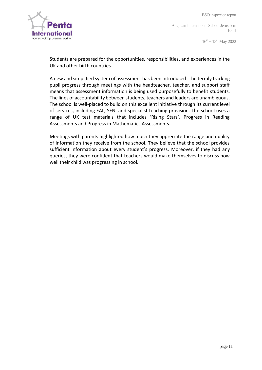

 $16^{th} - 18^{th}$  May 2022

Students are prepared for the opportunities, responsibilities, and experiences in the UK and other birth countries.

A new and simplified system of assessment has been introduced. The termly tracking pupil progress through meetings with the headteacher, teacher, and support staff means that assessment information is being used purposefully to benefit students. The lines of accountability between students, teachers and leaders are unambiguous. The school is well-placed to build on this excellent initiative through its current level of services, including EAL, SEN, and specialist teaching provision. The school uses a range of UK test materials that includes 'Rising Stars', Progress in Reading Assessments and Progress in Mathematics Assessments.

Meetings with parents highlighted how much they appreciate the range and quality of information they receive from the school. They believe that the school provides sufficient information about every student's progress. Moreover, if they had any queries, they were confident that teachers would make themselves to discuss how well their child was progressing in school.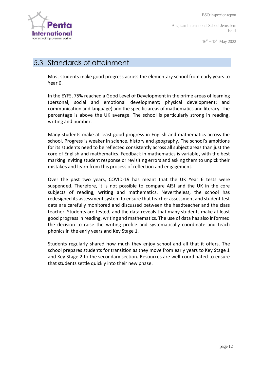

 $16^{th} - 18^{th}$  May 2022

#### 5.3 Standards of attainment

Most students make good progress across the elementary school from early years to Year 6.

In the EYFS, 75% reached a Good Level of Development in the prime areas of learning (personal, social and emotional development; physical development; and communication and language) and the specific areas of mathematics and literacy. The percentage is above the UK average. The school is particularly strong in reading, writing and number.

Many students make at least good progress in English and mathematics across the school. Progress is weaker in science, history and geography. The school's ambitions for its students need to be reflected consistently across all subject areas than just the core of English and mathematics. Feedback in mathematics is variable, with the best marking inviting student response or revisiting errors and asking them to unpick their mistakes and learn from this process of reflection and engagement.

Over the past two years, COVID-19 has meant that the UK Year 6 tests were suspended. Therefore, it is not possible to compare AISJ and the UK in the core subjects of reading, writing and mathematics. Nevertheless, the school has redesigned its assessment system to ensure that teacher assessment and student test data are carefully monitored and discussed between the headteacher and the class teacher. Students are tested, and the data reveals that many students make at least good progress in reading, writing and mathematics. The use of data has also informed the decision to raise the writing profile and systematically coordinate and teach phonics in the early years and Key Stage 1.

Students regularly shared how much they enjoy school and all that it offers. The school prepares students for transition as they move from early years to Key Stage 1 and Key Stage 2 to the secondary section. Resources are well-coordinated to ensure that students settle quickly into their new phase.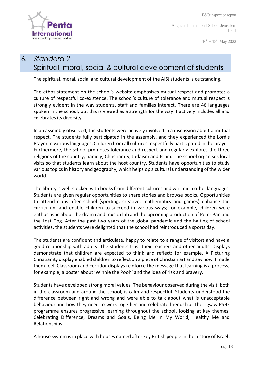

 $16^{th} - 18^{th}$  May 2022

# 6. *Standard 2* Spiritual, moral, social & cultural development of students

The spiritual, moral, social and cultural development of the AISJ students is outstanding.

The ethos statement on the school's website emphasises mutual respect and promotes a culture of respectful co-existence. The school's culture of tolerance and mutual respect is strongly evident in the way students, staff and families interact. There are 46 languages spoken in the school, but this is viewed as a strength for the way it actively includes all and celebrates its diversity.

In an assembly observed, the students were actively involved in a discussion about a mutual respect. The students fully participated in the assembly, and they experienced the Lord's Prayer in various languages. Children from all cultures respectfully participated in the prayer. Furthermore, the school promotes tolerance and respect and regularly explores the three religions of the country, namely, Christianity, Judaism and Islam. The school organises local visits so that students learn about the host country. Students have opportunities to study various topics in history and geography, which helps op a cultural understanding of the wider world.

The library is well-stocked with books from different cultures and written in other languages. Students are given regular opportunities to share stories and browse books. Opportunities to attend clubs after school (sporting, creative, mathematics and games) enhance the curriculum and enable children to succeed in various ways; for example, children were enthusiastic about the drama and music club and the upcoming production of Peter Pan and the Lost Dog. After the past two years of the global pandemic and the halting of school activities, the students were delighted that the school had reintroduced a sports day.

The students are confident and articulate, happy to relate to a range of visitors and have a good relationship with adults. The students trust their teachers and other adults. Displays demonstrate that children are expected to think and reflect; for example, A Picturing Christianity display enabled children to reflect on a piece of Christian art and say how it made them feel. Classroom and corridor displays reinforce the message that learning is a process, for example, a poster about 'Winnie the Pooh' and the idea of risk and bravery.

Students have developed strong moral values. The behaviour observed during the visit, both in the classroom and around the school, is calm and respectful. Students understood the difference between right and wrong and were able to talk about what is unacceptable behaviour and how they need to work together and celebrate friendship. The Jigsaw PSHE programme ensures progressive learning throughout the school, looking at key themes: Celebrating Difference, Dreams and Goals, Being Me in My World, Healthy Me and Relationships.

A house system is in place with houses named after key British people in the history of Israel;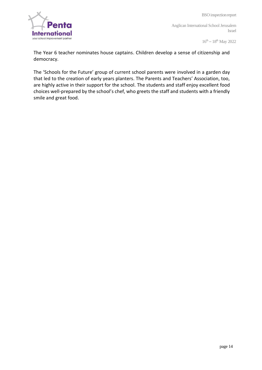

 $16^{th} - 18^{th}$  May 2022

The Year 6 teacher nominates house captains. Children develop a sense of citizenship and democracy.

The 'Schools for the Future' group of current school parents were involved in a garden day that led to the creation of early years planters. The Parents and Teachers' Association, too, are highly active in their support for the school. The students and staff enjoy excellent food choices well-prepared by the school's chef, who greets the staff and students with a friendly smile and great food.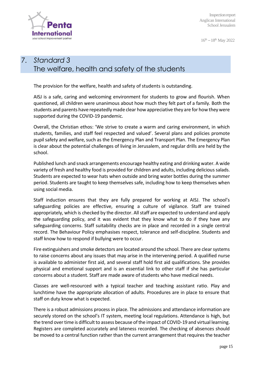

 $16^{th} - 18^{th}$  May 2022

# 7. *Standard 3* The welfare, health and safety of the students

The provision for the welfare, health and safety of students is outstanding.

AISJ is a safe, caring and welcoming environment for students to grow and flourish. When questioned, all children were unanimous about how much they felt part of a family. Both the students and parents have repeatedly made clear how appreciative they are for how they were supported during the COVID-19 pandemic.

Overall, the Christian ethos: 'We strive to create a warm and caring environment, in which students, families, and staff feel respected and valued'. Several plans and policies promote pupil safety and welfare, such as the Emergency Plan and Transport Plan. The Emergency Plan is clear about the potential challenges of living in Jerusalem, and regular drills are held by the school.

Published lunch and snack arrangements encourage healthy eating and drinking water. A wide variety of fresh and healthy food is provided for children and adults, including delicious salads. Students are expected to wear hats when outside and bring water bottles during the summer period. Students are taught to keep themselves safe, including how to keep themselves when using social media.

Staff induction ensures that they are fully prepared for working at AISJ. The school's safeguarding policies are effective, ensuring a culture of vigilance. Staff are trained appropriately, which is checked by the director. All staff are expected to understand and apply the safeguarding policy, and it was evident that they know what to do if they have any safeguarding concerns. Staff suitability checks are in place and recorded in a single central record. The Behaviour Policy emphasises respect, tolerance and self-discipline. Students and staff know how to respond if bullying were to occur.

Fire extinguishers and smoke detectors are located around the school. There are clear systems to raise concerns about any issues that may arise in the intervening period. A qualified nurse is available to administer first aid, and several staff hold first aid qualifications. She provides physical and emotional support and is an essential link to other staff if she has particular concerns about a student. Staff are made aware of students who have medical needs.

Classes are well-resourced with a typical teacher and teaching assistant ratio. Play and lunchtime have the appropriate allocation of adults. Procedures are in place to ensure that staff on duty know what is expected.

There is a robust admissions process in place. The admissions and attendance information are securely stored on the school's IT system, meeting local regulations. Attendance is high, but the trend over time is difficult to assess because of the impact of COVID-19 and virtual learning. Registers are completed accurately and lateness recorded. The checking of absences should be moved to a central function rather than the current arrangement that requires the teacher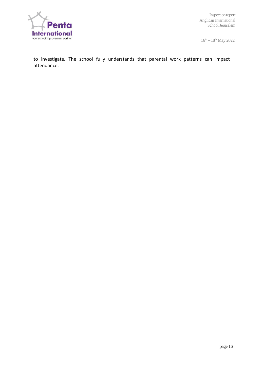

 $16^{th} - 18^{th}$  May 2022

to investigate. The school fully understands that parental work patterns can impact attendance.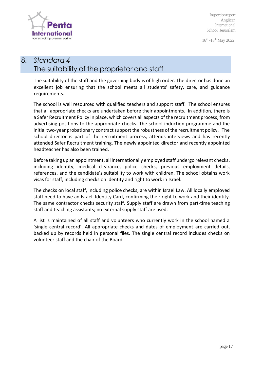

16<sup>th</sup> -18<sup>th</sup> May 2022

# 8. *Standard 4* The suitability of the proprietor and staff

The suitability of the staff and the governing body is of high order. The director has done an excellent job ensuring that the school meets all students' safety, care, and guidance requirements.

The school is well resourced with qualified teachers and support staff. The school ensures that all appropriate checks are undertaken before their appointments. In addition, there is a Safer Recruitment Policy in place, which covers all aspects of the recruitment process, from advertising positions to the appropriate checks. The school induction programme and the initial two-year probationary contract support the robustness of the recruitment policy. The school director is part of the recruitment process, attends interviews and has recently attended Safer Recruitment training. The newly appointed director and recently appointed headteacher has also been trained.

Before taking up an appointment, all internationally employed staff undergo relevant checks, including identity, medical clearance, police checks, previous employment details, references, and the candidate's suitability to work with children. The school obtains work visas for staff, including checks on identity and right to work in Israel.

The checks on local staff, including police checks, are within Israel Law. All locally employed staff need to have an Israeli Identity Card, confirming their right to work and their identity. The same contractor checks security staff. Supply staff are drawn from part-time teaching staff and teaching assistants; no external supply staff are used.

A list is maintained of all staff and volunteers who currently work in the school named a 'single central record'. All appropriate checks and dates of employment are carried out, backed up by records held in personal files. The single central record includes checks on volunteer staff and the chair of the Board.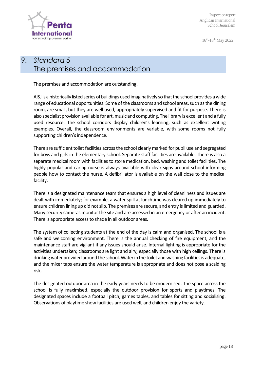

16<sup>th</sup>-18<sup>th</sup> May 2022

# 9. *Standard 5* The premises and accommodation

The premises and accommodation are outstanding.

AISJis a historically listed series of buildings used imaginatively so that the school provides a wide range of educational opportunities. Some of the classrooms and school areas, such as the dining room, are small, but they are well used, appropriately supervised and fit for purpose. There is also specialist provision available for art, music and computing. The library is excellent and a fully used resource. The school corridors display children's learning, such as excellent writing examples. Overall, the classroom environments are variable, with some rooms not fully supporting children's independence.

There are sufficient toilet facilities across the school clearly marked for pupil use and segregated for boys and girls in the elementary school. Separate staff facilities are available. There is also a separate medical room with facilities to store medication, bed, washing and toilet facilities. The highly popular and caring nurse is always available with clear signs around school informing people how to contact the nurse. A defibrillator is available on the wall close to the medical facility.

There is a designated maintenance team that ensures a high level of cleanliness and issues are dealt with immediately; for example, a water spill at lunchtime was cleared up immediately to ensure children lining up did not slip. The premises are secure, and entry is limited and guarded. Many security cameras monitor the site and are accessed in an emergency or after an incident. There is appropriate access to shade in all outdoor areas.

The system of collecting students at the end of the day is calm and organised. The school is a safe and welcoming environment. There is the annual checking of fire equipment, and the maintenance staff are vigilant if any issues should arise. Internal lighting is appropriate for the activities undertaken; classrooms are light and airy, especially those with high ceilings. There is drinking water provided around the school. Water in the toilet and washing facilities is adequate, and the mixer taps ensure the water temperature is appropriate and does not pose a scalding risk.

The designated outdoor area in the early years needs to be modernised. The space across the school is fully maximised, especially the outdoor provision for sports and playtimes. The designated spaces include a football pitch, games tables, and tables for sitting and socialising. Observations of playtime show facilities are used well, and children enjoy the variety.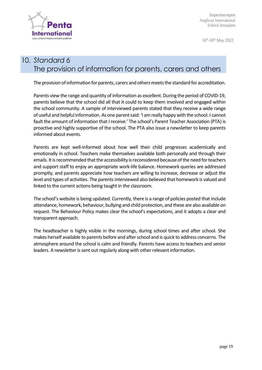

16<sup>th</sup>-18<sup>th</sup> May 2022

# 10. *Standard 6* The provision of information for parents, carers and others

The provision of information for parents, carers and others meets the standard for accreditation.

Parents view the range and quantity of information as excellent. During the period of COVID-19, parents believe that the school did all that it could to keep them involved and engaged within the school community. A sample of interviewed parents stated that they receive a wide range of useful and helpful information. As one parent said: 'I am really happy with the school. I cannot fault the amount of information that I receive.' The school's Parent Teacher Association (PTA) is proactive and highly supportive of the school. The PTA also issue a newsletter to keep parents informed about events.

Parents are kept well-informed about how well their child progresses academically and emotionally in school. Teachers make themselves available both personally and through their emails. It is recommended that the accessibility is reconsidered because of the need for teachers and support staff to enjoy an appropriate work-life balance. Homework queries are addressed promptly, and parents appreciate how teachers are willing to increase, decrease or adjust the level and types of activities. The parents interviewed also believed that homework is valued and linked to the current actions being taught in the classroom.

The school's website is being updated. Currently, there is a range of policies posted that include attendance, homework, behaviour, bullying and child protection, and these are also available on request. The Behaviour Policy makes clear the school's expectations, and it adopts a clear and transparent approach.

The headteacher is highly visible in the mornings, during school times and after school. She makes herself available to parents before and after school and is quick to address concerns. The atmosphere around the school is calm and friendly. Parents have access to teachers and senior leaders. A newsletter is sent out regularly along with other relevant information.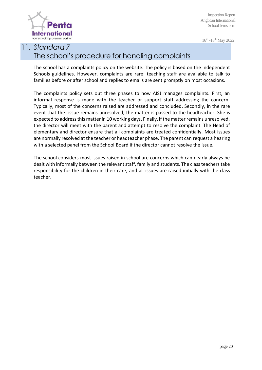

16<sup>th</sup> -18<sup>th</sup> May 2022

# 11. *Standard 7* The school's procedure for handling complaints

The school has a complaints policy on the website. The policy is based on the Independent Schools guidelines. However, complaints are rare: teaching staff are available to talk to families before or after school and replies to emails are sent promptly on most occasions.

The complaints policy sets out three phases to how AISJ manages complaints. First, an informal response is made with the teacher or support staff addressing the concern. Typically, most of the concerns raised are addressed and concluded. Secondly, in the rare event that the issue remains unresolved, the matter is passed to the headteacher. She is expected to address this matter in 10 working days. Finally, if the matter remains unresolved, the director will meet with the parent and attempt to resolve the complaint. The Head of elementary and director ensure that all complaints are treated confidentially. Most issues are normally resolved at the teacher or headteacher phase. The parent can request a hearing with a selected panel from the School Board if the director cannot resolve the issue.

The school considers most issues raised in school are concerns which can nearly always be dealt with informally between the relevant staff, family and students. The class teachers take responsibility for the children in their care, and all issues are raised initially with the class teacher.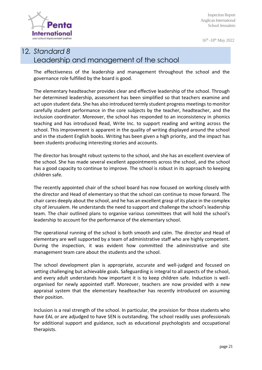

16<sup>th</sup> -18<sup>th</sup> May 2022

2019

# 12. *Standard 8* Leadership and management of the school

The effectiveness of the leadership and management throughout the school and the governance role fulfilled by the board is good.

The elementary headteacher provides clear and effective leadership of the school. Through her determined leadership, assessment has been simplified so that teachers examine and act upon student data. She has also introduced termly student progress meetings to monitor carefully student performance in the core subjects by the teacher, headteacher, and the inclusion coordinator. Moreover, the school has responded to an inconsistency in phonics teaching and has introduced Read, Write Inc. to support reading and writing across the school. This improvement is apparent in the quality of writing displayed around the school and in the student English books. Writing has been given a high priority, and the impact has been students producing interesting stories and accounts.

The director has brought robust systems to the school, and she has an excellent overview of the school. She has made several excellent appointments across the school, and the school has a good capacity to continue to improve. The school is robust in its approach to keeping children safe.

The recently appointed chair of the school board has now focused on working closely with the director and Head of elementary so that the school can continue to move forward. The chair cares deeply about the school, and he has an excellent grasp of its place in the complex city of Jerusalem. He understands the need to support and challenge the school's leadership team. The chair outlined plans to organise various committees that will hold the school's leadership to account for the performance of the elementary school.

The operational running of the school is both smooth and calm. The director and Head of elementary are well supported by a team of administrative staff who are highly competent. During the inspection, it was evident how committed the administrative and site management team care about the students and the school.

The school development plan is appropriate, accurate and well-judged and focused on setting challenging but achievable goals. Safeguarding is integral to all aspects of the school, and every adult understands how important it is to keep children safe. Induction is wellorganised for newly appointed staff. Moreover, teachers are now provided with a new appraisal system that the elementary headteacher has recently introduced on assuming their position.

Inclusion is a real strength of the school. In particular, the provision for those students who have EAL or are adjudged to have SEN is outstanding. The school readily uses professionals for additional support and guidance, such as educational psychologists and occupational therapists.